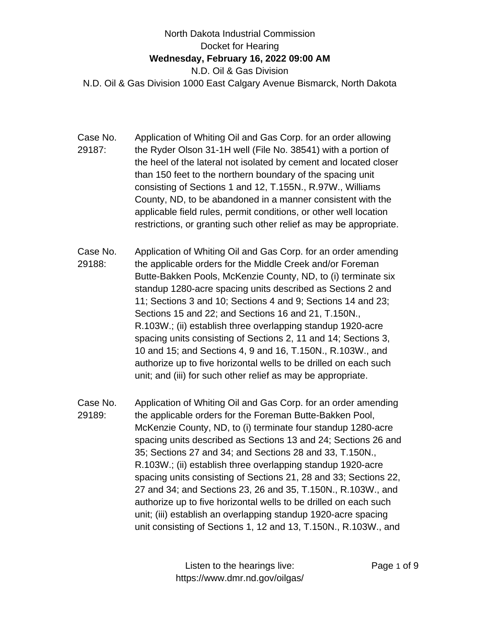## North Dakota Industrial Commission Docket for Hearing **Wednesday, February 16, 2022 09:00 AM** N.D. Oil & Gas Division N.D. Oil & Gas Division 1000 East Calgary Avenue Bismarck, North Dakota

- Case No. 29187: Application of Whiting Oil and Gas Corp. for an order allowing the Ryder Olson 31-1H well (File No. 38541) with a portion of the heel of the lateral not isolated by cement and located closer than 150 feet to the northern boundary of the spacing unit consisting of Sections 1 and 12, T.155N., R.97W., Williams County, ND, to be abandoned in a manner consistent with the applicable field rules, permit conditions, or other well location restrictions, or granting such other relief as may be appropriate.
- Case No. 29188: Application of Whiting Oil and Gas Corp. for an order amending the applicable orders for the Middle Creek and/or Foreman Butte-Bakken Pools, McKenzie County, ND, to (i) terminate six standup 1280-acre spacing units described as Sections 2 and 11; Sections 3 and 10; Sections 4 and 9; Sections 14 and 23; Sections 15 and 22; and Sections 16 and 21, T.150N., R.103W.; (ii) establish three overlapping standup 1920-acre spacing units consisting of Sections 2, 11 and 14; Sections 3, 10 and 15; and Sections 4, 9 and 16, T.150N., R.103W., and authorize up to five horizontal wells to be drilled on each such unit; and (iii) for such other relief as may be appropriate.
- Case No. 29189: Application of Whiting Oil and Gas Corp. for an order amending the applicable orders for the Foreman Butte-Bakken Pool, McKenzie County, ND, to (i) terminate four standup 1280-acre spacing units described as Sections 13 and 24; Sections 26 and 35; Sections 27 and 34; and Sections 28 and 33, T.150N., R.103W.; (ii) establish three overlapping standup 1920-acre spacing units consisting of Sections 21, 28 and 33; Sections 22, 27 and 34; and Sections 23, 26 and 35, T.150N., R.103W., and authorize up to five horizontal wells to be drilled on each such unit; (iii) establish an overlapping standup 1920-acre spacing unit consisting of Sections 1, 12 and 13, T.150N., R.103W., and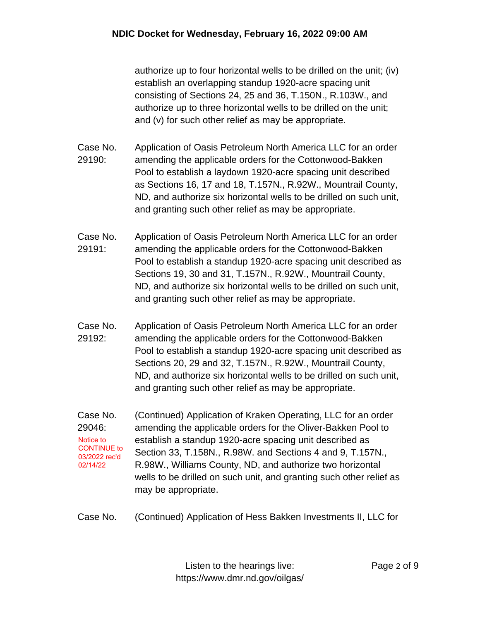authorize up to four horizontal wells to be drilled on the unit; (iv) establish an overlapping standup 1920-acre spacing unit consisting of Sections 24, 25 and 36, T.150N., R.103W., and authorize up to three horizontal wells to be drilled on the unit; and (v) for such other relief as may be appropriate.

- Case No. 29190: Application of Oasis Petroleum North America LLC for an order amending the applicable orders for the Cottonwood-Bakken Pool to establish a laydown 1920-acre spacing unit described as Sections 16, 17 and 18, T.157N., R.92W., Mountrail County, ND, and authorize six horizontal wells to be drilled on such unit, and granting such other relief as may be appropriate.
- Case No. 29191: Application of Oasis Petroleum North America LLC for an order amending the applicable orders for the Cottonwood-Bakken Pool to establish a standup 1920-acre spacing unit described as Sections 19, 30 and 31, T.157N., R.92W., Mountrail County, ND, and authorize six horizontal wells to be drilled on such unit, and granting such other relief as may be appropriate.
- Case No. 29192: Application of Oasis Petroleum North America LLC for an order amending the applicable orders for the Cottonwood-Bakken Pool to establish a standup 1920-acre spacing unit described as Sections 20, 29 and 32, T.157N., R.92W., Mountrail County, ND, and authorize six horizontal wells to be drilled on such unit, and granting such other relief as may be appropriate.
- Case No. 29046: (Continued) Application of Kraken Operating, LLC for an order amending the applicable orders for the Oliver-Bakken Pool to establish a standup 1920-acre spacing unit described as Section 33, T.158N., R.98W. and Sections 4 and 9, T.157N., R.98W., Williams County, ND, and authorize two horizontal wells to be drilled on such unit, and granting such other relief as may be appropriate. Notice to CONTINUE to 03/2022 rec'd 02/14/22
- Case No. (Continued) Application of Hess Bakken Investments II, LLC for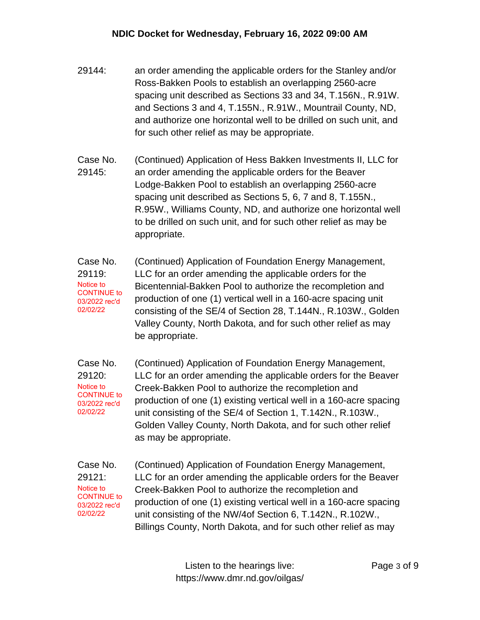- 29144: an order amending the applicable orders for the Stanley and/or Ross-Bakken Pools to establish an overlapping 2560-acre spacing unit described as Sections 33 and 34, T.156N., R.91W. and Sections 3 and 4, T.155N., R.91W., Mountrail County, ND, and authorize one horizontal well to be drilled on such unit, and for such other relief as may be appropriate.
- Case No. 29145: (Continued) Application of Hess Bakken Investments II, LLC for an order amending the applicable orders for the Beaver Lodge-Bakken Pool to establish an overlapping 2560-acre spacing unit described as Sections 5, 6, 7 and 8, T.155N., R.95W., Williams County, ND, and authorize one horizontal well to be drilled on such unit, and for such other relief as may be appropriate.
- Case No. 29119: (Continued) Application of Foundation Energy Management, LLC for an order amending the applicable orders for the Bicentennial-Bakken Pool to authorize the recompletion and production of one (1) vertical well in a 160-acre spacing unit consisting of the SE/4 of Section 28, T.144N., R.103W., Golden Valley County, North Dakota, and for such other relief as may be appropriate. Notice to CONTINUE to 03/2022 rec'd 02/02/22
- Case No. 29120: (Continued) Application of Foundation Energy Management, LLC for an order amending the applicable orders for the Beaver Creek-Bakken Pool to authorize the recompletion and production of one (1) existing vertical well in a 160-acre spacing unit consisting of the SE/4 of Section 1, T.142N., R.103W., Golden Valley County, North Dakota, and for such other relief as may be appropriate. Notice to CONTINUE to 03/2022 rec'd 02/02/22
- Case No. 29121: (Continued) Application of Foundation Energy Management, LLC for an order amending the applicable orders for the Beaver Creek-Bakken Pool to authorize the recompletion and production of one (1) existing vertical well in a 160-acre spacing unit consisting of the NW/4of Section 6, T.142N., R.102W., Billings County, North Dakota, and for such other relief as may Notice to CONTINUE to 03/2022 rec'd 02/02/22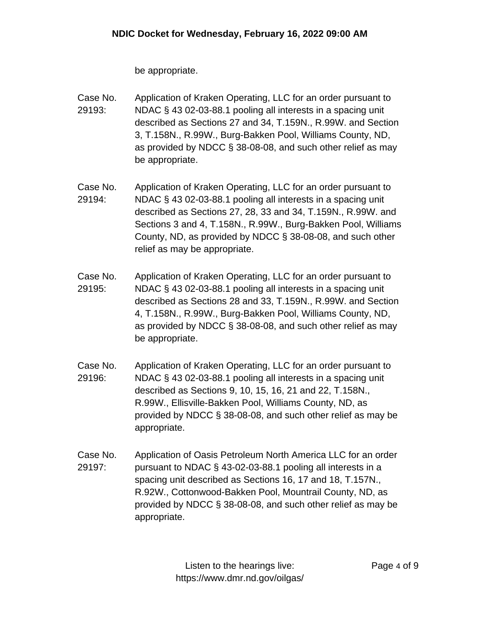be appropriate.

- Case No. 29193: Application of Kraken Operating, LLC for an order pursuant to NDAC § 43 02-03-88.1 pooling all interests in a spacing unit described as Sections 27 and 34, T.159N., R.99W. and Section 3, T.158N., R.99W., Burg-Bakken Pool, Williams County, ND, as provided by NDCC § 38-08-08, and such other relief as may be appropriate.
- Case No. 29194: Application of Kraken Operating, LLC for an order pursuant to NDAC § 43 02-03-88.1 pooling all interests in a spacing unit described as Sections 27, 28, 33 and 34, T.159N., R.99W. and Sections 3 and 4, T.158N., R.99W., Burg-Bakken Pool, Williams County, ND, as provided by NDCC § 38-08-08, and such other relief as may be appropriate.
- Case No. 29195: Application of Kraken Operating, LLC for an order pursuant to NDAC § 43 02-03-88.1 pooling all interests in a spacing unit described as Sections 28 and 33, T.159N., R.99W. and Section 4, T.158N., R.99W., Burg-Bakken Pool, Williams County, ND, as provided by NDCC § 38-08-08, and such other relief as may be appropriate.
- Case No. 29196: Application of Kraken Operating, LLC for an order pursuant to NDAC § 43 02-03-88.1 pooling all interests in a spacing unit described as Sections 9, 10, 15, 16, 21 and 22, T.158N., R.99W., Ellisville-Bakken Pool, Williams County, ND, as provided by NDCC § 38-08-08, and such other relief as may be appropriate.
- Case No. 29197: Application of Oasis Petroleum North America LLC for an order pursuant to NDAC § 43-02-03-88.1 pooling all interests in a spacing unit described as Sections 16, 17 and 18, T.157N., R.92W., Cottonwood-Bakken Pool, Mountrail County, ND, as provided by NDCC § 38-08-08, and such other relief as may be appropriate.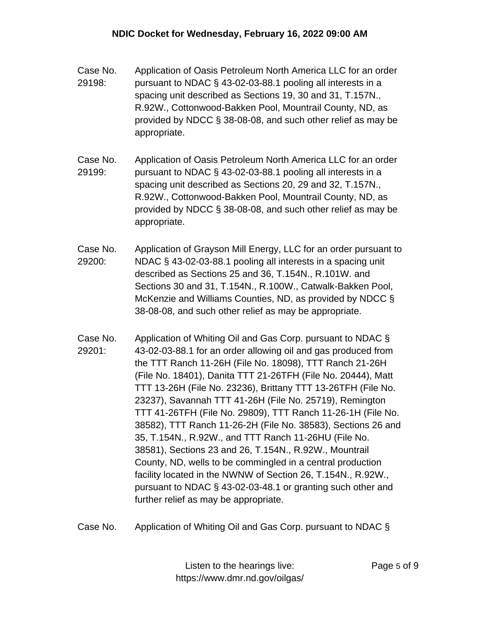- Case No. 29198: Application of Oasis Petroleum North America LLC for an order pursuant to NDAC § 43-02-03-88.1 pooling all interests in a spacing unit described as Sections 19, 30 and 31, T.157N., R.92W., Cottonwood-Bakken Pool, Mountrail County, ND, as provided by NDCC § 38-08-08, and such other relief as may be appropriate.
- Case No. 29199: Application of Oasis Petroleum North America LLC for an order pursuant to NDAC § 43-02-03-88.1 pooling all interests in a spacing unit described as Sections 20, 29 and 32, T.157N., R.92W., Cottonwood-Bakken Pool, Mountrail County, ND, as provided by NDCC § 38-08-08, and such other relief as may be appropriate.
- Case No. 29200: Application of Grayson Mill Energy, LLC for an order pursuant to NDAC § 43-02-03-88.1 pooling all interests in a spacing unit described as Sections 25 and 36, T.154N., R.101W. and Sections 30 and 31, T.154N., R.100W., Catwalk-Bakken Pool, McKenzie and Williams Counties, ND, as provided by NDCC § 38-08-08, and such other relief as may be appropriate.
- Case No. 29201: Application of Whiting Oil and Gas Corp. pursuant to NDAC § 43-02-03-88.1 for an order allowing oil and gas produced from the TTT Ranch 11-26H (File No. 18098), TTT Ranch 21-26H (File No. 18401), Danita TTT 21-26TFH (File No. 20444), Matt TTT 13-26H (File No. 23236), Brittany TTT 13-26TFH (File No. 23237), Savannah TTT 41-26H (File No. 25719), Remington TTT 41-26TFH (File No. 29809), TTT Ranch 11-26-1H (File No. 38582), TTT Ranch 11-26-2H (File No. 38583), Sections 26 and 35, T.154N., R.92W., and TTT Ranch 11-26HU (File No. 38581), Sections 23 and 26, T.154N., R.92W., Mountrail County, ND, wells to be commingled in a central production facility located in the NWNW of Section 26, T.154N., R.92W., pursuant to NDAC § 43-02-03-48.1 or granting such other and further relief as may be appropriate.
- Case No. Application of Whiting Oil and Gas Corp. pursuant to NDAC §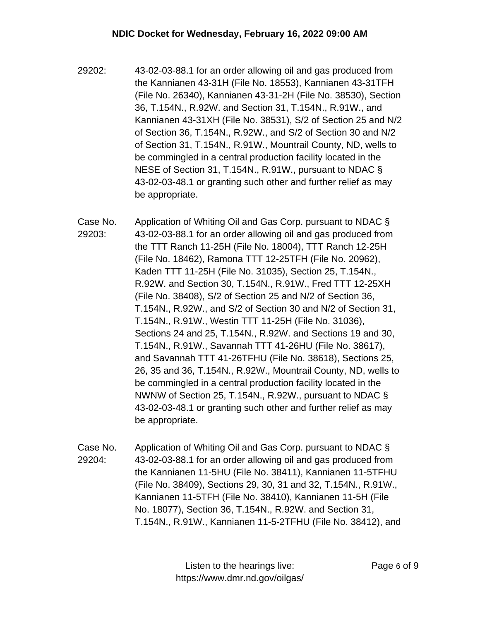- 29202: 43-02-03-88.1 for an order allowing oil and gas produced from the Kannianen 43-31H (File No. 18553), Kannianen 43-31TFH (File No. 26340), Kannianen 43-31-2H (File No. 38530), Section 36, T.154N., R.92W. and Section 31, T.154N., R.91W., and Kannianen 43-31XH (File No. 38531), S/2 of Section 25 and N/2 of Section 36, T.154N., R.92W., and S/2 of Section 30 and N/2 of Section 31, T.154N., R.91W., Mountrail County, ND, wells to be commingled in a central production facility located in the NESE of Section 31, T.154N., R.91W., pursuant to NDAC § 43-02-03-48.1 or granting such other and further relief as may be appropriate.
- Case No. 29203: Application of Whiting Oil and Gas Corp. pursuant to NDAC § 43-02-03-88.1 for an order allowing oil and gas produced from the TTT Ranch 11-25H (File No. 18004), TTT Ranch 12-25H (File No. 18462), Ramona TTT 12-25TFH (File No. 20962), Kaden TTT 11-25H (File No. 31035), Section 25, T.154N., R.92W. and Section 30, T.154N., R.91W., Fred TTT 12-25XH (File No. 38408), S/2 of Section 25 and N/2 of Section 36, T.154N., R.92W., and S/2 of Section 30 and N/2 of Section 31, T.154N., R.91W., Westin TTT 11-25H (File No. 31036), Sections 24 and 25, T.154N., R.92W. and Sections 19 and 30, T.154N., R.91W., Savannah TTT 41-26HU (File No. 38617), and Savannah TTT 41-26TFHU (File No. 38618), Sections 25, 26, 35 and 36, T.154N., R.92W., Mountrail County, ND, wells to be commingled in a central production facility located in the NWNW of Section 25, T.154N., R.92W., pursuant to NDAC § 43-02-03-48.1 or granting such other and further relief as may be appropriate.
- Case No. 29204: Application of Whiting Oil and Gas Corp. pursuant to NDAC § 43-02-03-88.1 for an order allowing oil and gas produced from the Kannianen 11-5HU (File No. 38411), Kannianen 11-5TFHU (File No. 38409), Sections 29, 30, 31 and 32, T.154N., R.91W., Kannianen 11-5TFH (File No. 38410), Kannianen 11-5H (File No. 18077), Section 36, T.154N., R.92W. and Section 31, T.154N., R.91W., Kannianen 11-5-2TFHU (File No. 38412), and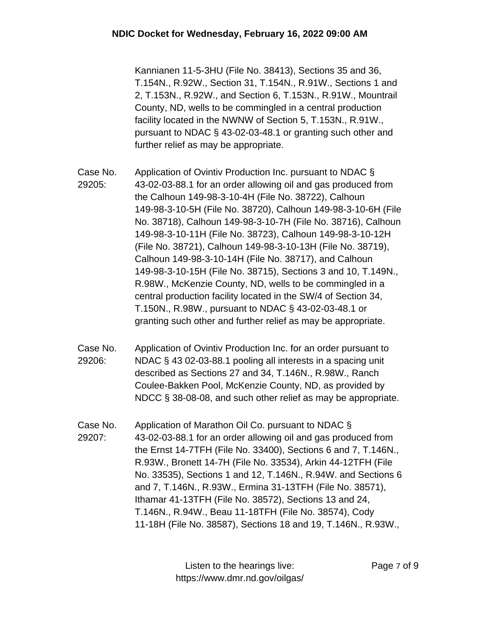Kannianen 11-5-3HU (File No. 38413), Sections 35 and 36, T.154N., R.92W., Section 31, T.154N., R.91W., Sections 1 and 2, T.153N., R.92W., and Section 6, T.153N., R.91W., Mountrail County, ND, wells to be commingled in a central production facility located in the NWNW of Section 5, T.153N., R.91W., pursuant to NDAC § 43-02-03-48.1 or granting such other and further relief as may be appropriate.

- Case No. 29205: Application of Ovintiv Production Inc. pursuant to NDAC § 43-02-03-88.1 for an order allowing oil and gas produced from the Calhoun 149-98-3-10-4H (File No. 38722), Calhoun 149-98-3-10-5H (File No. 38720), Calhoun 149-98-3-10-6H (File No. 38718), Calhoun 149-98-3-10-7H (File No. 38716), Calhoun 149-98-3-10-11H (File No. 38723), Calhoun 149-98-3-10-12H (File No. 38721), Calhoun 149-98-3-10-13H (File No. 38719), Calhoun 149-98-3-10-14H (File No. 38717), and Calhoun 149-98-3-10-15H (File No. 38715), Sections 3 and 10, T.149N., R.98W., McKenzie County, ND, wells to be commingled in a central production facility located in the SW/4 of Section 34, T.150N., R.98W., pursuant to NDAC § 43-02-03-48.1 or granting such other and further relief as may be appropriate.
- Case No. 29206: Application of Ovintiv Production Inc. for an order pursuant to NDAC § 43 02-03-88.1 pooling all interests in a spacing unit described as Sections 27 and 34, T.146N., R.98W., Ranch Coulee-Bakken Pool, McKenzie County, ND, as provided by NDCC § 38-08-08, and such other relief as may be appropriate.
- Case No. 29207: Application of Marathon Oil Co. pursuant to NDAC § 43-02-03-88.1 for an order allowing oil and gas produced from the Ernst 14-7TFH (File No. 33400), Sections 6 and 7, T.146N., R.93W., Bronett 14-7H (File No. 33534), Arkin 44-12TFH (File No. 33535), Sections 1 and 12, T.146N., R.94W. and Sections 6 and 7, T.146N., R.93W., Ermina 31-13TFH (File No. 38571), Ithamar 41-13TFH (File No. 38572), Sections 13 and 24, T.146N., R.94W., Beau 11-18TFH (File No. 38574), Cody 11-18H (File No. 38587), Sections 18 and 19, T.146N., R.93W.,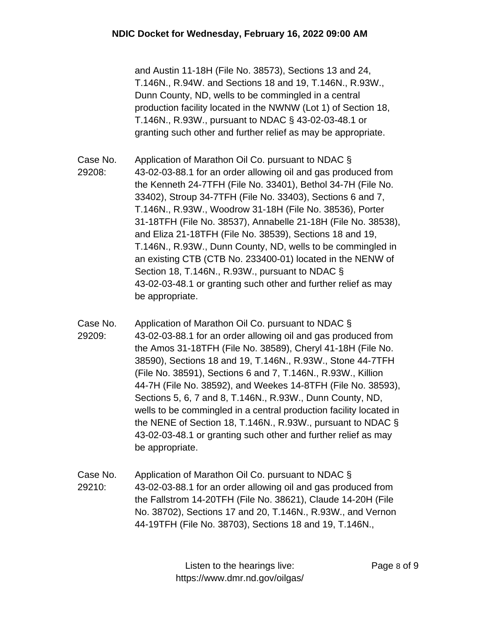and Austin 11-18H (File No. 38573), Sections 13 and 24, T.146N., R.94W. and Sections 18 and 19, T.146N., R.93W., Dunn County, ND, wells to be commingled in a central production facility located in the NWNW (Lot 1) of Section 18, T.146N., R.93W., pursuant to NDAC § 43-02-03-48.1 or granting such other and further relief as may be appropriate.

- Case No. 29208: Application of Marathon Oil Co. pursuant to NDAC § 43-02-03-88.1 for an order allowing oil and gas produced from the Kenneth 24-7TFH (File No. 33401), Bethol 34-7H (File No. 33402), Stroup 34-7TFH (File No. 33403), Sections 6 and 7, T.146N., R.93W., Woodrow 31-18H (File No. 38536), Porter 31-18TFH (File No. 38537), Annabelle 21-18H (File No. 38538), and Eliza 21-18TFH (File No. 38539), Sections 18 and 19, T.146N., R.93W., Dunn County, ND, wells to be commingled in an existing CTB (CTB No. 233400-01) located in the NENW of Section 18, T.146N., R.93W., pursuant to NDAC § 43-02-03-48.1 or granting such other and further relief as may be appropriate.
- Case No. 29209: Application of Marathon Oil Co. pursuant to NDAC § 43-02-03-88.1 for an order allowing oil and gas produced from the Amos 31-18TFH (File No. 38589), Cheryl 41-18H (File No. 38590), Sections 18 and 19, T.146N., R.93W., Stone 44-7TFH (File No. 38591), Sections 6 and 7, T.146N., R.93W., Killion 44-7H (File No. 38592), and Weekes 14-8TFH (File No. 38593), Sections 5, 6, 7 and 8, T.146N., R.93W., Dunn County, ND, wells to be commingled in a central production facility located in the NENE of Section 18, T.146N., R.93W., pursuant to NDAC § 43-02-03-48.1 or granting such other and further relief as may be appropriate.
- Case No. 29210: Application of Marathon Oil Co. pursuant to NDAC § 43-02-03-88.1 for an order allowing oil and gas produced from the Fallstrom 14-20TFH (File No. 38621), Claude 14-20H (File No. 38702), Sections 17 and 20, T.146N., R.93W., and Vernon 44-19TFH (File No. 38703), Sections 18 and 19, T.146N.,

Listen to the hearings live: https://www.dmr.nd.gov/oilgas/